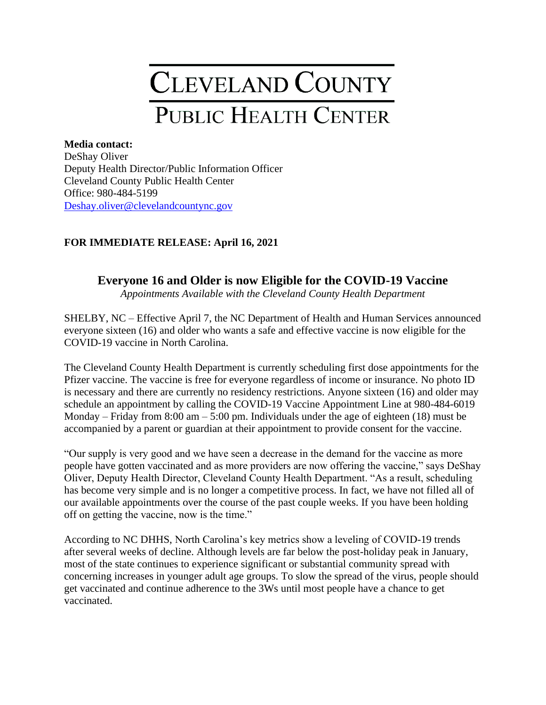## CLEVELAND COUNTY **PUBLIC HEALTH CENTER**

## **Media contact:**

DeShay Oliver Deputy Health Director/Public Information Officer Cleveland County Public Health Center Office: 980-484-5199 [Deshay.oliver@clevelandcountync.gov](mailto:Deshay.oliver@clevelandcountync.gov)

## **FOR IMMEDIATE RELEASE: April 16, 2021**

## **Everyone 16 and Older is now Eligible for the COVID-19 Vaccine**

*Appointments Available with the Cleveland County Health Department* 

SHELBY, NC – Effective April 7, the NC Department of Health and Human Services announced everyone sixteen (16) and older who wants a safe and effective vaccine is now eligible for the COVID-19 vaccine in North Carolina.

The Cleveland County Health Department is currently scheduling first dose appointments for the Pfizer vaccine. The vaccine is free for everyone regardless of income or insurance. No photo ID is necessary and there are currently no residency restrictions. Anyone sixteen (16) and older may schedule an appointment by calling the COVID-19 Vaccine Appointment Line at 980-484-6019 Monday – Friday from  $8:00 \text{ am} - 5:00 \text{ pm}$ . Individuals under the age of eighteen (18) must be accompanied by a parent or guardian at their appointment to provide consent for the vaccine.

"Our supply is very good and we have seen a decrease in the demand for the vaccine as more people have gotten vaccinated and as more providers are now offering the vaccine," says DeShay Oliver, Deputy Health Director, Cleveland County Health Department. "As a result, scheduling has become very simple and is no longer a competitive process. In fact, we have not filled all of our available appointments over the course of the past couple weeks. If you have been holding off on getting the vaccine, now is the time."

According to NC DHHS, North Carolina's key metrics show a leveling of COVID-19 trends after several weeks of decline. Although levels are far below the post-holiday peak in January, most of the state continues to experience significant or substantial community spread with concerning increases in younger adult age groups. To slow the spread of the virus, people should get vaccinated and continue adherence to the 3Ws until most people have a chance to get vaccinated.